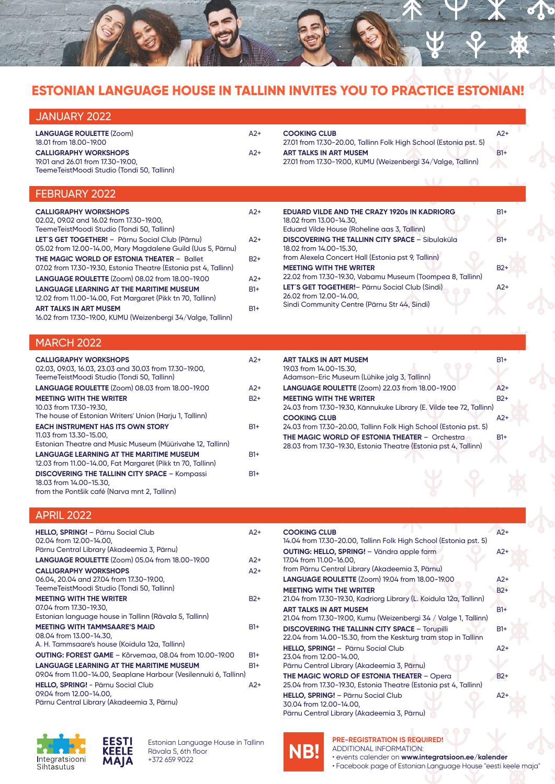

# **ESTONIAN LANGUAGE HOUSE IN TALLINN INVITES YOU TO PRACTICE ESTONIAN!**

| JANUARY 2022                                                                                                    |       |                                                                                               |       |
|-----------------------------------------------------------------------------------------------------------------|-------|-----------------------------------------------------------------------------------------------|-------|
| <b>LANGUAGE ROULETTE (Zoom)</b><br>18.01 from 18.00-19.00                                                       | $A2+$ | <b>COOKING CLUB</b><br>27.01 from 17.30-20.00, Tallinn Folk High School (Estonia pst. 5)      | $A2+$ |
| <b>CALLIGRAPHY WORKSHOPS</b><br>19.01 and 26.01 from 17.30-19.00,<br>TeemeTeistMoodi Studio (Tondi 50, Tallinn) | $A2+$ | <b>ART TALKS IN ART MUSEM</b><br>27.01 from 17.30-19.00, KUMU (Weizenbergi 34/Valge, Tallinn) | $B1+$ |

## FEBRUARY 2022

| <b>CALLIGRAPHY WORKSHOPS</b><br>02.02, 09.02 and 16.02 from 17.30-19.00,<br>TeemeTeistMoodi Studio (Tondi 50, Tallinn) | $A2+$ | <b>EDUARD VILDE AND THE CRAZY 1920s IN KADRIORG</b><br>18.02 from 13.00-14.30.<br>Eduard Vilde House (Roheline aas 3, Tallinn) | $B1+$ |
|------------------------------------------------------------------------------------------------------------------------|-------|--------------------------------------------------------------------------------------------------------------------------------|-------|
| LET'S GET TOGETHER! - Pärnu Social Club (Pärnu)<br>05.02 from 12.00-14.00, Mary Magdalene Guild (Uus 5, Pärnu)         | $A2+$ | <b>DISCOVERING THE TALLINN CITY SPACE - Sibulaküla</b><br>18.02 from 14.00-15.30.                                              | $B1+$ |
| <b>THE MAGIC WORLD OF ESTONIA THEATER - Ballet</b><br>07.02 from 17.30-19.30, Estonia Theatre (Estonia pst 4, Tallinn) | $B2+$ | from Alexela Concert Hall (Estonia pst 9, Tallinn)<br><b>MEETING WITH THE WRITER</b>                                           | $B2+$ |
| <b>LANGUAGE ROULETTE (Zoom) 08.02 from 18.00-19.00</b>                                                                 | $A2+$ | 22.02 from 17.30-19.30, Vabamu Museum (Toompea 8, Tallinn)                                                                     |       |
| <b>LANGUAGE LEARNING AT THE MARITIME MUSEUM</b><br>12.02 from 11.00-14.00, Fat Margaret (Pikk tn 70, Tallinn)          | $B1+$ | LET'S GET TOGETHER! - Pärnu Social Club (Sindi)<br>26.02 from 12.00-14.00.                                                     | $A2+$ |
| <b>ART TALKS IN ART MUSEM</b><br>16.02 from 17.30-19.00, KUMU (Weizenbergi 34/Valge, Tallinn)                          | $B1+$ | Sindi Community Centre (Pärnu Str 44, Sindi)                                                                                   |       |

### MARCH 2022

| <b>CALLIGRAPHY WORKSHOPS</b><br>02.03, 09.03, 16.03, 23.03 and 30.03 from 17.30-19.00,<br>TeemeTeistMoodi Studio (Tondi 50, Tallinn) | A2+             |
|--------------------------------------------------------------------------------------------------------------------------------------|-----------------|
| <b>LANGUAGE ROULETTE (Zoom) 08.03 from 18.00-19.00</b>                                                                               | $\Delta$ 2+     |
| <b>MEETING WITH THE WRITER</b><br>10.03 from 17.30-19.30,<br>The house of Estonian Writers' Union (Harju 1, Tallinn)                 | B <sub>2+</sub> |
| <b>EACH INSTRUMENT HAS ITS OWN STORY</b><br>11.03 from 13.30-15.00.<br>Estonian Theatre and Music Museum (Müürivahe 12, Tallinn)     | $B1+$           |
| <b>LANGUAGE LEARNING AT THE MARITIME MUSEUM</b><br>12.03 from 11.00-14.00, Fat Margaret (Pikk tn 70, Tallinn)                        | $B1+$           |
| <b>DISCOVERING THE TALLINN CITY SPACE - Kompassi</b><br>18.03 from 14.00-15.30,<br>from the Pontšik café (Narva mnt 2, Tallinn)      | $B1+$           |

| <b>ART TALKS IN ART MUSEM</b><br>19.03 from 14.00-15.30,                                                                   | $R1+$       |
|----------------------------------------------------------------------------------------------------------------------------|-------------|
| Adamson-Eric Museum (Lühike jalg 3, Tallinn)                                                                               |             |
| LANGUAGE ROULETTE (Zoom) 22.03 from 18.00-19.00                                                                            | $A2+$       |
| <b>MEETING WITH THE WRITER</b><br>24.03 from 17.30-19.30, Kännukuke Library (E. Vilde tee 72, Tallinn)                     | $B2+$       |
| <b>COOKING CLUB</b><br>24.03 from 17.30-20.00, Tallinn Folk High School (Estonia pst. 5)                                   | $\Delta$ 2+ |
| <b>THE MAGIC WORLD OF ESTONIA THEATER - Orchestral</b><br>28.03 from 17.30-19.30, Estonia Theatre (Estonia pst 4, Tallinn) | $B1+$       |
|                                                                                                                            |             |

### APRIL 2022

| <b>HELLO, SPRING!</b> - Pärnu Social Club<br>02.04 from 12.00-14.00,<br>Pärnu Central Library (Akadeemia 3, Pärnu)     | $A2+$ |
|------------------------------------------------------------------------------------------------------------------------|-------|
| LANGUAGE ROULETTE (Zoom) 05.04 from 18.00-19.00                                                                        | $A2+$ |
| <b>CALLIGRAPHY WORKSHOPS</b><br>06.04, 20.04 and 27.04 from 17.30-19.00,<br>TeemeTeistMoodi Studio (Tondi 50, Tallinn) | $A2+$ |
| <b>MEETING WITH THE WRITER</b><br>07.04 from 17.30-19.30,<br>Estonian language house in Tallinn (Rävala 5, Tallinn)    | $B2+$ |
| <b>MEETING WITH TAMMSAARE'S MAID</b><br>08.04 from 13.00-14.30,<br>A. H. Tammsaare's house (Koidula 12a, Tallinn)      | $B1+$ |
| <b>OUTING: FOREST GAME - Kõrvemaa, 08.04 from 10.00-19.00</b>                                                          | $B1+$ |
| <b>LANGUAGE LEARNING AT THE MARITIME MUSEUM</b><br>09.04 from 11.00-14.00, Seaplane Harbour (Vesilennuki 6, Tallinn)   | $B1+$ |
| <b>HELLO, SPRING!</b> - Pärnu Social Club<br>09.04 from 12.00-14.00,<br>Pärnu Central Library (Akadeemia 3, Pärnu)     | A2+   |

| <b>COOKING CLUB</b>                                                | $A2+$ |
|--------------------------------------------------------------------|-------|
| 14.04 from 17.30-20.00, Tallinn Folk High School (Estonia pst. 5)  |       |
| OUTING: HELLO, SPRING! - Vändra apple farm                         | $A2+$ |
| 17.04 from 11.00-16.00,                                            |       |
| from Pärnu Central Library (Akadeemia 3, Pärnu)                    |       |
| LANGUAGE ROULETTE (Zoom) 19.04 from 18.00-19.00                    | $A2+$ |
| <b>MEETING WITH THE WRITER</b>                                     | $B2+$ |
| 21.04 from 17.30-19.30, Kadriorg Library (L. Koidula 12a, Tallinn) |       |
| <b>ART TALKS IN ART MUSEM</b>                                      | $B1+$ |
| 21.04 from 17.30-19.00, Kumu (Weizenbergi 34 / Valge 1, Tallinn)   |       |
| <b>DISCOVERING THE TALLINN CITY SPACE - Torupilli</b>              | $B1+$ |
| 22.04 from 14.00-15.30, from the Keskturg tram stop in Tallinn     |       |
| HELLO, SPRING! - Pärnu Social Club                                 | $A2+$ |
| 23.04 from 12.00-14.00,                                            |       |
| Pärnu Central Library (Akadeemia 3, Pärnu)                         |       |
| <b>THE MAGIC WORLD OF ESTONIA THEATER - Opera</b>                  | $B2+$ |
| 25.04 from 17.30-19.30, Estonia Theatre (Estonia pst 4, Tallinn)   |       |
| HELLO, SPRING! - Pärnu Social Club                                 | $A2+$ |
| 30.04 from 12.00-14.00,                                            |       |
| Pärnu Central Library (Akadeemia 3, Pärnu)                         |       |





Estonian Language House in Tallinn Rävala 5, 6th floor +372 659 9022

**NB!**

**PRE-REGISTRATION IS REQUIRED!** ADDITIONAL INFORMATION: